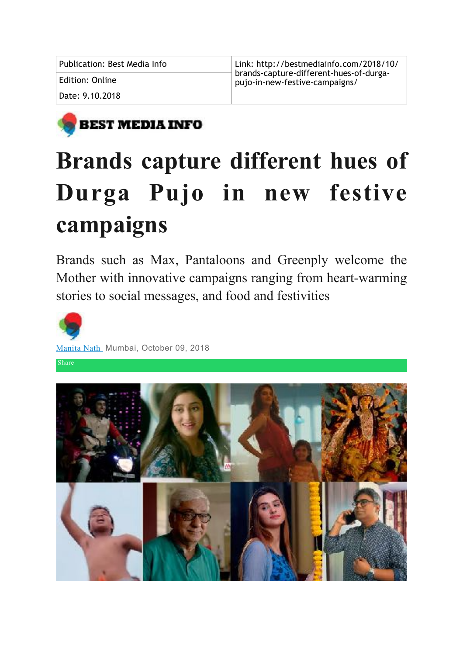| Publication: Best Media Info | Link: http://bestmediainfo.com/2018/10/                                   |
|------------------------------|---------------------------------------------------------------------------|
| Edition: Online              | brands-capture-different-hues-of-durga-<br>pujo-in-new-festive-campaigns/ |
| Date: 9.10.2018              |                                                                           |



# **Brands capture different hues of Durga Pujo in new festive campaigns**

Brands such as Max, Pantaloons and Greenply welcome the Mother with innovative campaigns ranging from heart-warming stories to social messages, and food and festivities



[Manita Nath](http://bestmediainfo.com/reporter.php?reporter=Manita%2520Nath) Mumbai, October 09, 2018

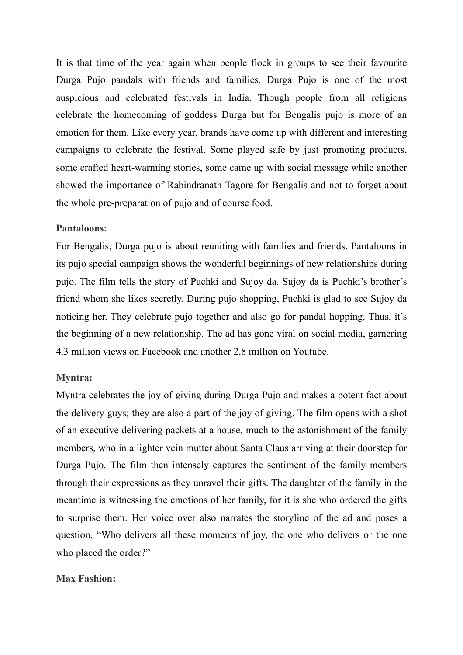It is that time of the year again when people flock in groups to see their favourite Durga Pujo pandals with friends and families. Durga Pujo is one of the most auspicious and celebrated festivals in India. Though people from all religions celebrate the homecoming of goddess Durga but for Bengalis pujo is more of an emotion for them. Like every year, brands have come up with different and interesting campaigns to celebrate the festival. Some played safe by just promoting products, some crafted heart-warming stories, some came up with social message while another showed the importance of Rabindranath Tagore for Bengalis and not to forget about the whole pre-preparation of pujo and of course food.

### **Pantaloons:**

For Bengalis, Durga pujo is about reuniting with families and friends. Pantaloons in its pujo special campaign shows the wonderful beginnings of new relationships during pujo. The film tells the story of Puchki and Sujoy da. Sujoy da is Puchki's brother's friend whom she likes secretly. During pujo shopping, Puchki is glad to see Sujoy da noticing her. They celebrate pujo together and also go for pandal hopping. Thus, it's the beginning of a new relationship. The ad has gone viral on social media, garnering 4.3 million views on Facebook and another 2.8 million on Youtube.

### **Myntra:**

Myntra celebrates the joy of giving during Durga Pujo and makes a potent fact about the delivery guys; they are also a part of the joy of giving. The film opens with a shot of an executive delivering packets at a house, much to the astonishment of the family members, who in a lighter vein mutter about Santa Claus arriving at their doorstep for Durga Pujo. The film then intensely captures the sentiment of the family members through their expressions as they unravel their gifts. The daughter of the family in the meantime is witnessing the emotions of her family, for it is she who ordered the gifts to surprise them. Her voice over also narrates the storyline of the ad and poses a question, "Who delivers all these moments of joy, the one who delivers or the one who placed the order?"

## **Max Fashion:**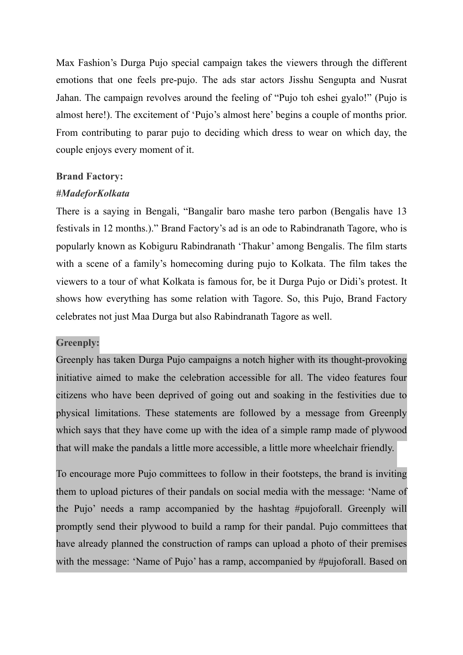Max Fashion's Durga Pujo special campaign takes the viewers through the different emotions that one feels pre-pujo. The ads star actors Jisshu Sengupta and Nusrat Jahan. The campaign revolves around the feeling of "Pujo toh eshei gyalo!" (Pujo is almost here!). The excitement of 'Pujo's almost here' begins a couple of months prior. From contributing to parar pujo to deciding which dress to wear on which day, the couple enjoys every moment of it.

## **Brand Factory:**

### *#MadeforKolkata*

There is a saying in Bengali, "Bangalir baro mashe tero parbon (Bengalis have 13 festivals in 12 months.)." Brand Factory's ad is an ode to Rabindranath Tagore, who is popularly known as Kobiguru Rabindranath 'Thakur' among Bengalis. The film starts with a scene of a family's homecoming during pujo to Kolkata. The film takes the viewers to a tour of what Kolkata is famous for, be it Durga Pujo or Didi's protest. It shows how everything has some relation with Tagore. So, this Pujo, Brand Factory celebrates not just Maa Durga but also Rabindranath Tagore as well.

## **Greenply:**

Greenply has taken Durga Pujo campaigns a notch higher with its thought-provoking initiative aimed to make the celebration accessible for all. The video features four citizens who have been deprived of going out and soaking in the festivities due to physical limitations. These statements are followed by a message from Greenply which says that they have come up with the idea of a simple ramp made of plywood that will make the pandals a little more accessible, a little more wheelchair friendly.

To encourage more Pujo committees to follow in their footsteps, the brand is inviting them to upload pictures of their pandals on social media with the message: 'Name of the Pujo' needs a ramp accompanied by the hashtag #pujoforall. Greenply will promptly send their plywood to build a ramp for their pandal. Pujo committees that have already planned the construction of ramps can upload a photo of their premises with the message: 'Name of Pujo' has a ramp, accompanied by #pujoforall. Based on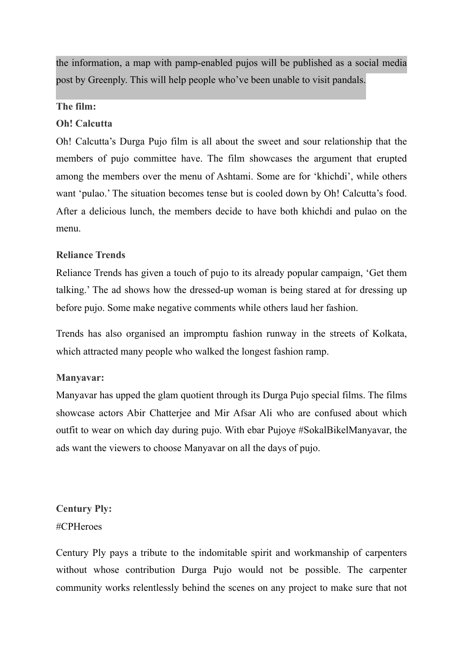the information, a map with pamp-enabled pujos will be published as a social media post by Greenply. This will help people who've been unable to visit pandals.

# **The film:**

# **Oh! Calcutta**

Oh! Calcutta's Durga Pujo film is all about the sweet and sour relationship that the members of pujo committee have. The film showcases the argument that erupted among the members over the menu of Ashtami. Some are for 'khichdi', while others want 'pulao.' The situation becomes tense but is cooled down by Oh! Calcutta's food. After a delicious lunch, the members decide to have both khichdi and pulao on the menu.

# **Reliance Trends**

Reliance Trends has given a touch of pujo to its already popular campaign, 'Get them talking.' The ad shows how the dressed-up woman is being stared at for dressing up before pujo. Some make negative comments while others laud her fashion.

Trends has also organised an impromptu fashion runway in the streets of Kolkata, which attracted many people who walked the longest fashion ramp.

## **Manyavar:**

Manyavar has upped the glam quotient through its Durga Pujo special films. The films showcase actors Abir Chatterjee and Mir Afsar Ali who are confused about which outfit to wear on which day during pujo. With ebar Pujoye #SokalBikelManyavar, the ads want the viewers to choose Manyavar on all the days of pujo.

**Century Ply:** #CPHeroes

Century Ply pays a tribute to the indomitable spirit and workmanship of carpenters without whose contribution Durga Pujo would not be possible. The carpenter community works relentlessly behind the scenes on any project to make sure that not